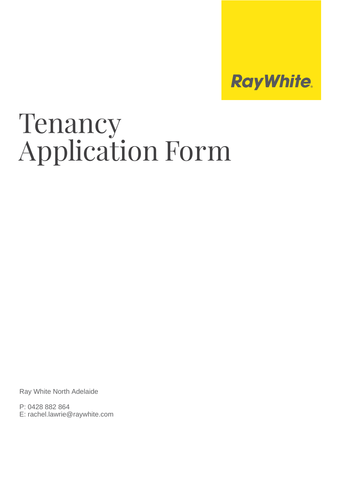

# Tenancy Application Form

Ray White North Adelaide

P: 0428 882 864 E: rachel.lawrie@raywhite.com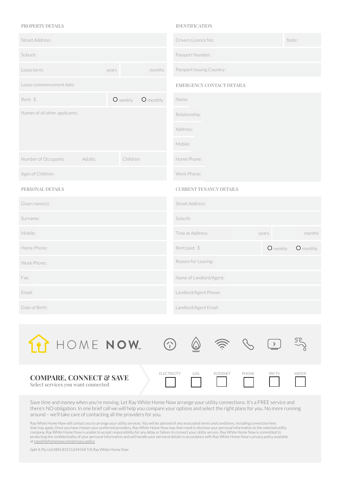# PROPERTY DETAILS

| Street Address:                |         |           |           | Drivers Licence No:            |       |          | State:    |
|--------------------------------|---------|-----------|-----------|--------------------------------|-------|----------|-----------|
| Suburb:                        |         |           |           | Passport Number:               |       |          |           |
| Lease term:                    |         | years     | months    | Passport Issuing Country:      |       |          |           |
| Lease commencement date:       |         |           |           | EMERGENCY CONTACT DETAILS      |       |          |           |
| Rent: \$                       |         | O weekly  | O monthly | Name:                          |       |          |           |
| Names of all other applicants: |         |           |           | Relationship:                  |       |          |           |
|                                |         |           |           | Address:                       |       |          |           |
|                                |         |           |           | Mobile:                        |       |          |           |
| Number of Occupants            | Adults: | Children: |           | Home Phone:                    |       |          |           |
| Ages of Children:              |         |           |           | Work Phone:                    |       |          |           |
| PERSONAL DETAILS               |         |           |           | <b>CURRENT TENANCY DETAILS</b> |       |          |           |
| Given name(s):                 |         |           |           | Street Address:                |       |          |           |
| Surname:                       |         |           |           | Suburb:                        |       |          |           |
| Mobile:                        |         |           |           | Time at Address:               | years |          | months    |
| Home Phone:                    |         |           |           | Rent paid: \$                  |       | O weekly | O monthly |
| Work Phone:                    |         |           |           | Reason for Leaving:            |       |          |           |
| Fax:                           |         |           |           | Name of Landlord/Agent:        |       |          |           |
| Email:                         |         |           |           | Landlord/Agent Phone:          |       |          |           |
| Date of Birth:                 |         |           |           | Landlord/Agent Email:          |       |          |           |

IDENTIFICATION

| HOME NOW                                                                 | $Z_{\rm N}$        |     | $\hat{y}$       |       |               |              |
|--------------------------------------------------------------------------|--------------------|-----|-----------------|-------|---------------|--------------|
| <b>COMPARE, CONNECT &amp; SAVE</b><br>Select services you want connected | <b>ELECTRICITY</b> | GAS | <b>INTERNET</b> | PHONE | <b>PAY TV</b> | <b>WATFR</b> |

Save time and money when you're moving. Let Ray White Home Now arrange your utility connections. It's a FREE service and there's NO obligation. In one brief call we will help you compare your options and select the right plans for you. No more running around – we'll take care of contacting all the providers for you.

Ray White Home Now will contact you to arrange your utility services. You will be advised of any associated terms and conditions, including connection fees<br>that may apply. Once you have chosen your preferred providers, Ray at raywhitehomenow.com/privacy-policy

Split It Pty Ltd ABN 83151244558 T/A Ray White Home Now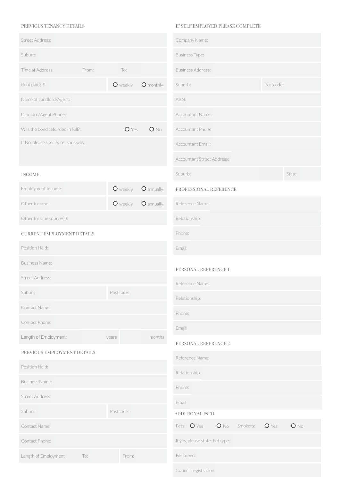# PREVIOUS TENANCY DETAILS

| Street Address:                    |       |           |            | Company Name:                     |           |
|------------------------------------|-------|-----------|------------|-----------------------------------|-----------|
| Suburb:                            |       |           |            | <b>Business Type:</b>             |           |
| Time at Address:                   | From: | To:       |            | <b>Business Address:</b>          |           |
| Rent paid: \$                      |       | O weekly  | O monthly  | Suburb:                           | Postcode: |
| Name of Landlord/Agent:            |       |           |            | ABN:                              |           |
| Landlord/Agent Phone:              |       |           |            | Accountant Name:                  |           |
| Was the bond refunded in full?:    |       | $O$ Yes   | $O$ No     | Accountant Phone:                 |           |
| If No, please specify reasons why: |       |           |            | Accountant Email:                 |           |
|                                    |       |           |            | <b>Accountant Street Address:</b> |           |
| <b>INCOME</b>                      |       |           |            | Suburb:                           |           |
| Employment Income:                 |       | O weekly  | O annually | PROFESSIONAL REFERENCE            |           |
| Other Income:                      |       | O weekly  | O annually | Reference Name:                   |           |
| Other Income source(s):            |       |           |            | Relationship:                     |           |
| CURRENT EMPLOYMENT DETAILS         |       |           |            | Phone:                            |           |
| Position Held:                     |       |           |            | Email:                            |           |
| <b>Business Name:</b>              |       |           |            | PERSONAL REFERENCE 1              |           |
| Street Address:                    |       |           |            | Reference Name:                   |           |
| Suburb:                            |       | Postcode: |            | Relationship:                     |           |
| Contact Name:                      |       |           |            | Phone:                            |           |
| Contact Phone:                     |       |           |            | Email:                            |           |
| Length of Employment:              |       | years     | months     | PERSONAL REFERENCE 2              |           |
| PREVIOUS EMPLOYMENT DETAILS        |       |           |            | Reference Name:                   |           |
| Position Held:                     |       |           |            | Relationship:                     |           |
| <b>Business Name:</b>              |       |           |            | Phone:                            |           |
| Street Address:                    |       |           |            | Email:                            |           |
| Suburb:                            |       | Postcode: |            | ADDITIONAL INFO                   |           |
| Contact Name:                      |       |           |            | Pets: O Yes<br>$O$ No<br>Smokers: | O Yes     |
| Contact Phone:                     |       |           |            | If yes, please state: Pet type:   |           |
| Length of Employment               | To:   | From:     |            | Pet breed:                        |           |

## IF SELF EMPLOYED PLEASE COMPLETE

| Company iname:                  |               |           |        |  |
|---------------------------------|---------------|-----------|--------|--|
| <b>Business Type:</b>           |               |           |        |  |
| <b>Business Address:</b>        |               |           |        |  |
| Suburb:                         |               | Postcode: |        |  |
| ABN:                            |               |           |        |  |
| Accountant Name:                |               |           |        |  |
| Accountant Phone:               |               |           |        |  |
| Accountant Email:               |               |           |        |  |
| Accountant Street Address:      |               |           |        |  |
| Suburb:                         |               |           | State: |  |
| PROFESSIONAL REFERENCE          |               |           |        |  |
| Reference Name:                 |               |           |        |  |
| Relationship:                   |               |           |        |  |
| Phone:                          |               |           |        |  |
| Email:                          |               |           |        |  |
| PERSONAL REFERENCE 1            |               |           |        |  |
| Reference Name:                 |               |           |        |  |
| Relationship:                   |               |           |        |  |
| Phone:                          |               |           |        |  |
| Email:                          |               |           |        |  |
| PERSONAL REFERENCE 2            |               |           |        |  |
| Reference Name:                 |               |           |        |  |
| Relationship:                   |               |           |        |  |
| Phone:                          |               |           |        |  |
| Email:                          |               |           |        |  |
| ADDITIONAL INFO                 |               |           |        |  |
| Pets: O Yes                     | O No Smokers: | $O$ Yes   | $O$ No |  |
| If yes, please state: Pet type: |               |           |        |  |
| Pet breed:                      |               |           |        |  |
| Council registration:           |               |           |        |  |
|                                 |               |           |        |  |